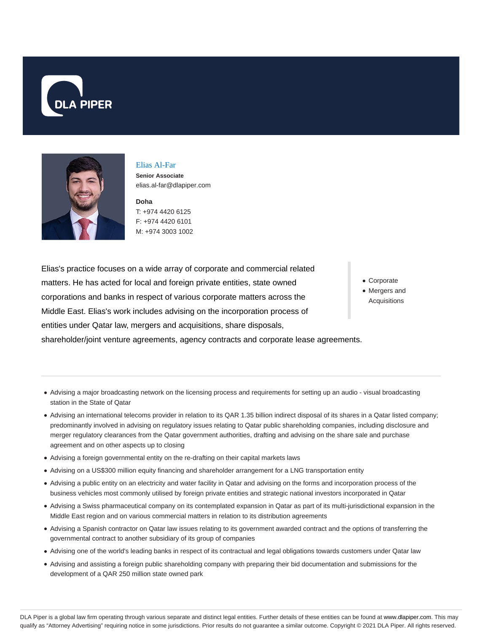



#### Elias Al-Far

**Senior Associate** elias.al-far@dlapiper.com

**Doha** T: +974 4420 6125 F: +974 4420 6101 M: +974 3003 1002

Elias's practice focuses on a wide array of corporate and commercial related matters. He has acted for local and foreign private entities, state owned corporations and banks in respect of various corporate matters across the Middle East. Elias's work includes advising on the incorporation process of entities under Qatar law, mergers and acquisitions, share disposals, shareholder/joint venture agreements, agency contracts and corporate lease agreements.

- Corporate
- Mergers and Acquisitions

- Advising a major broadcasting network on the licensing process and requirements for setting up an audio visual broadcasting station in the State of Qatar
- Advising an international telecoms provider in relation to its QAR 1.35 billion indirect disposal of its shares in a Qatar listed company; predominantly involved in advising on regulatory issues relating to Qatar public shareholding companies, including disclosure and merger regulatory clearances from the Qatar government authorities, drafting and advising on the share sale and purchase agreement and on other aspects up to closing
- Advising a foreign governmental entity on the re-drafting on their capital markets laws
- Advising on a US\$300 million equity financing and shareholder arrangement for a LNG transportation entity
- Advising a public entity on an electricity and water facility in Qatar and advising on the forms and incorporation process of the business vehicles most commonly utilised by foreign private entities and strategic national investors incorporated in Qatar
- Advising a Swiss pharmaceutical company on its contemplated expansion in Qatar as part of its multi-jurisdictional expansion in the Middle East region and on various commercial matters in relation to its distribution agreements
- Advising a Spanish contractor on Qatar law issues relating to its government awarded contract and the options of transferring the governmental contract to another subsidiary of its group of companies
- Advising one of the world's leading banks in respect of its contractual and legal obligations towards customers under Qatar law
- Advising and assisting a foreign public shareholding company with preparing their bid documentation and submissions for the development of a QAR 250 million state owned park

DLA Piper is a global law firm operating through various separate and distinct legal entities. Further details of these entities can be found at www.dlapiper.com. This may qualify as "Attorney Advertising" requiring notice in some jurisdictions. Prior results do not guarantee a similar outcome. Copyright © 2021 DLA Piper. All rights reserved.